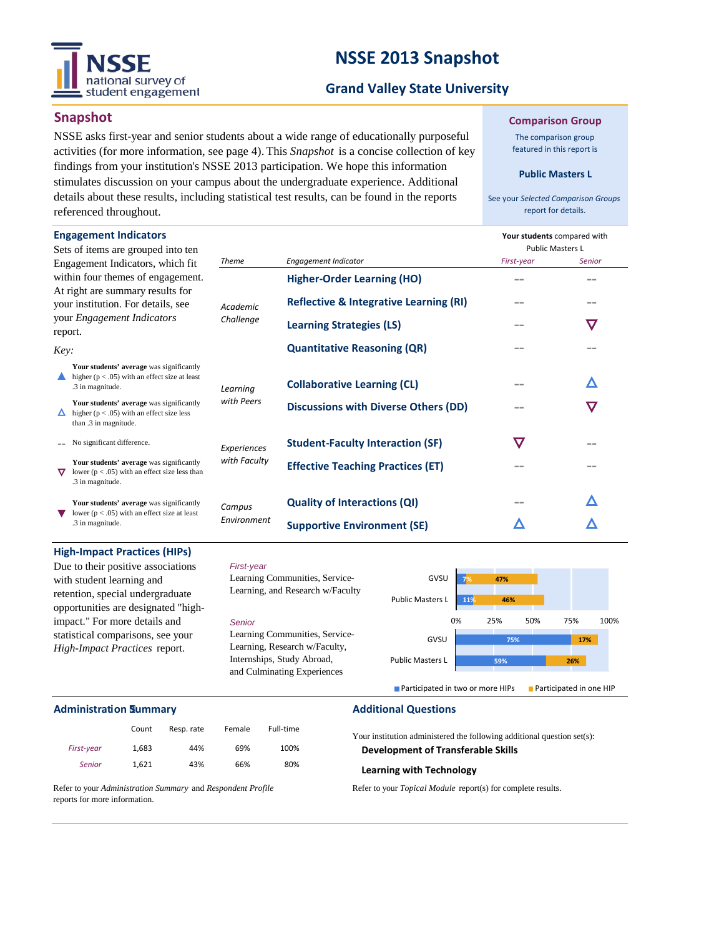

### **NSSE 2013 Snapshot**

### **Grand Valley State University**

### **Snapshot**

NSSE asks first-year and senior students about a wide range of educationally purposeful activities (for more information, see page 4). This *Snapshot* is a concise collection of key findings from your institution's NSSE 2013 participation. We hope this information stimulates discussion on your campus about the undergraduate experience. Additional details about these results, including statistical test results, can be found in the reports referenced throughout.

#### **Comparison Group**

The comparison group featured in this report is

#### **Public Masters L**

See your *Selected Comparison Groups*  report for details.

| <b>Engagement Indicators</b><br>Sets of items are grouped into ten                                                     |                             |                                                   | Your students compared with<br><b>Public Masters L</b> |              |
|------------------------------------------------------------------------------------------------------------------------|-----------------------------|---------------------------------------------------|--------------------------------------------------------|--------------|
| Engagement Indicators, which fit                                                                                       | <b>Theme</b>                | <b>Engagement Indicator</b>                       | First-year                                             | Senior       |
| within four themes of engagement.<br>At right are summary results for<br>your institution. For details, see            | Academic                    | <b>Higher-Order Learning (HO)</b>                 |                                                        |              |
|                                                                                                                        |                             | <b>Reflective &amp; Integrative Learning (RI)</b> | $- -$                                                  |              |
| your <i>Engagement Indicators</i><br>report.                                                                           | Challenge                   | <b>Learning Strategies (LS)</b>                   | --                                                     | $\bf \nabla$ |
| Key:                                                                                                                   |                             | <b>Quantitative Reasoning (QR)</b>                | --                                                     |              |
| Your students' average was significantly<br>higher ( $p < .05$ ) with an effect size at least<br>.3 in magnitude.      | Learnina<br>with Peers      | <b>Collaborative Learning (CL)</b>                |                                                        |              |
| Your students' average was significantly<br>higher ( $p < .05$ ) with an effect size less<br>than .3 in magnitude.     |                             | <b>Discussions with Diverse Others (DD)</b>       |                                                        |              |
| No significant difference.                                                                                             | Experiences<br>with Faculty | <b>Student-Faculty Interaction (SF)</b>           | $\bm{\nabla}$                                          |              |
| Your students' average was significantly<br>lower ( $p < .05$ ) with an effect size less than<br>▽<br>.3 in magnitude. |                             | <b>Effective Teaching Practices (ET)</b>          |                                                        |              |
| Your students' average was significantly<br>lower ( $p < .05$ ) with an effect size at least<br>.3 in magnitude.       | Campus<br>Environment       | <b>Quality of Interactions (QI)</b>               |                                                        |              |
|                                                                                                                        |                             | <b>Supportive Environment (SE)</b>                |                                                        |              |

#### **High-Impact Practices (HIPs)**

Due to their positive associations with student learning and retention, special undergraduate opportunities are designated "highimpact." For more details and statistical comparisons, see your *High-Impact Practices* report.

### *First-year*



### **Administration**

|            | Count | Resp. rate | Female | Full-time |  |
|------------|-------|------------|--------|-----------|--|
| First-year | 1,683 | 44%        | 69%    | 100%      |  |
| Senior     | 1.621 | 43%        | 66%    | 80%       |  |

### **Additional Questions**

Your institution administered the following additional question set(s): **Development of Transferable Skills**

#### **Learning with Technology**

Refer to your *Topical Module* report(s) for complete results.

Refer to your *Administration Summary* and *Respondent Profile*  reports for more information.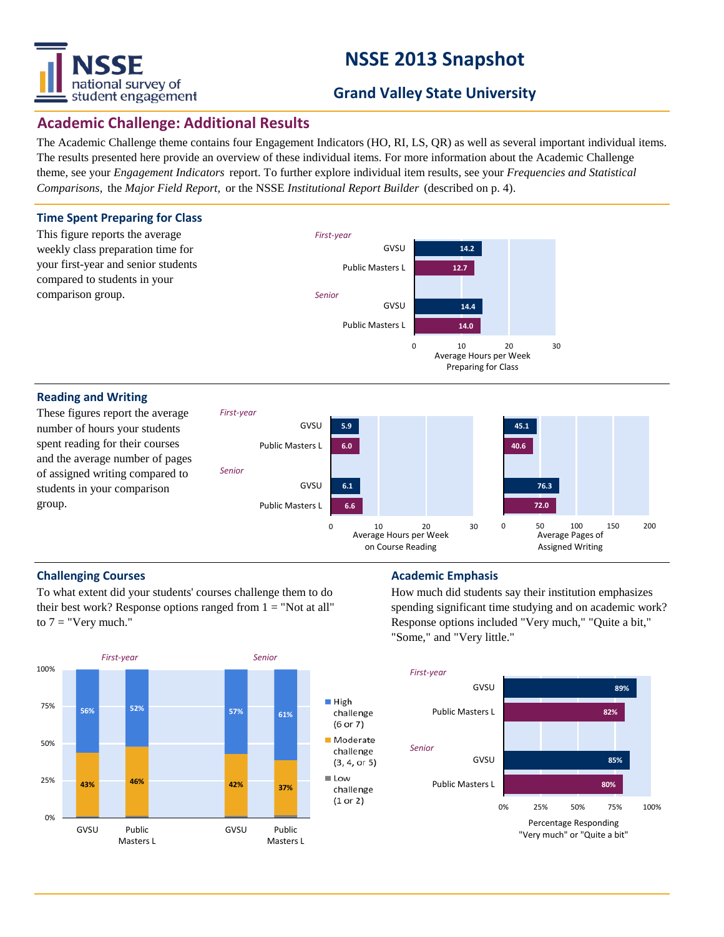# national survey of student engagement

## **NSSE 2013 Snapshot**

### **Grand Valley State University**

### **Academic Challenge: Additional Results**

The Academic Challenge theme contains four Engagement Indicators (HO, RI, LS, QR) as well as several important individual items. The results presented here provide an overview of these individual items. For more information about the Academic Challenge theme, see your *Engagement Indicators* report. To further explore individual item results, see your *Frequencies and Statistical Comparisons,* the *Major Field Report,* or the NSSE *Institutional Report Builder* (described on p. 4).



**6.6 6.1**

Public Masters L

group.

students in your comparison

To what extent did your students' courses challenge them to do their best work? Response options ranged from  $1 = "Not at all"$ to  $7 =$  "Very much."



### **Challenging Courses Academic Emphasis Academic Emphasis**

0 10 20 30 Average Hours per Week

on Course Reading

How much did students say their institution emphasizes spending significant time studying and on academic work? Response options included "Very much," "Quite a bit," "Some," and "Very little."

**72.0 76.3**

0 50 100 150 200 Average Pages of Assigned Writing

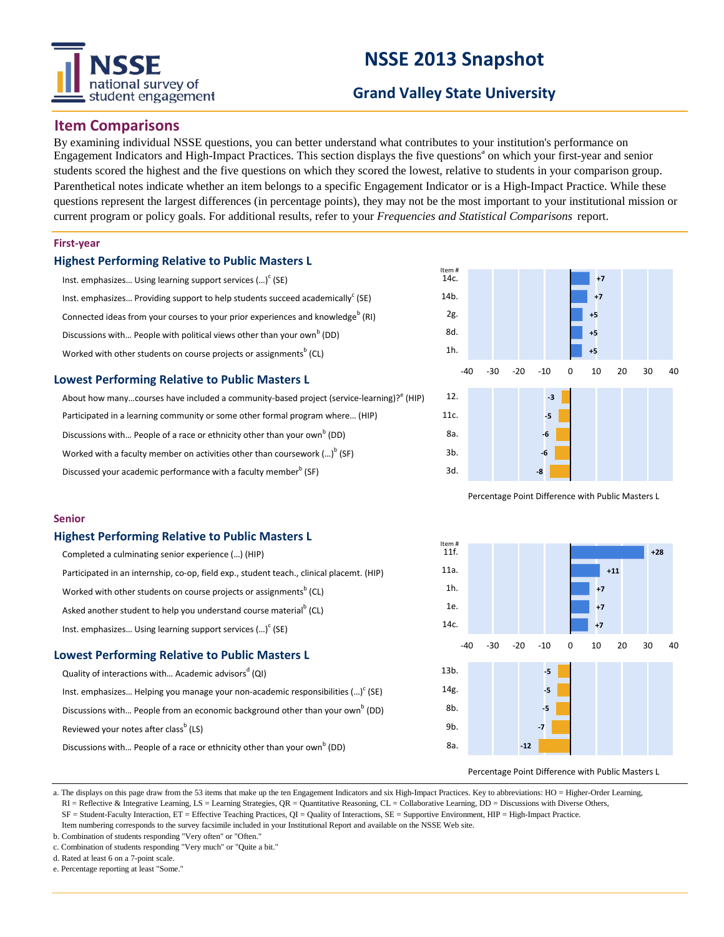# national survey of student engagement

## **NSSE 2013 Snapshot**

### **Grand Valley State University**

### **Item Comparisons**

By examining individual NSSE questions, you can better understand what contributes to your institution's performance on Engagement Indicators and High-Impact Practices. This section displays the five questions<sup>ª</sup> on which your first-year and senior students scored the highest and the five questions on which they scored the lowest, relative to students in your comparison group. Parenthetical notes indicate whether an item belongs to a specific Engagement Indicator or is a High-Impact Practice. While these questions represent the largest differences (in percentage points), they may not be the most important to your institutional mission or current program or policy goals. For additional results, refer to your *Frequencies and Statistical Comparisons* report.

### **First-year**

### **Highest Performing Relative to Public Masters L**

| Inst. emphasizes Using learning support services $()^c$ (SE)                                |
|---------------------------------------------------------------------------------------------|
| Inst. emphasizes Providing support to help students succeed academically $(SE)$             |
| Connected ideas from your courses to your prior experiences and knowledge <sup>b</sup> (RI) |
| Discussions with People with political views other than your own <sup>b</sup> (DD)          |
| Worked with other students on course projects or assignments <sup>b</sup> (CL)              |

### **Lowest Performing Relative to Public Masters L**

| About how manycourses have included a community-based project (service-learning)? (HIP) |
|-----------------------------------------------------------------------------------------|
| Participated in a learning community or some other formal program where (HIP)           |
| Discussions with People of a race or ethnicity other than your own <sup>b</sup> (DD)    |
| Worked with a faculty member on activities other than coursework $()^{\circ}$ (SF)      |
| Discussed your academic performance with a faculty member <sup>b</sup> (SF)             |



Percentage Point Difference with Public Masters L

### **Senior**

### **Highest Performing Relative to Public Masters L**

| Completed a culminating senior experience () (HIP)                                        |
|-------------------------------------------------------------------------------------------|
| Participated in an internship, co-op, field exp., student teach., clinical placemt. (HIP) |
| Worked with other students on course projects or assignments <sup>b</sup> (CL)            |
| Asked another student to help you understand course material <sup>b</sup> (CL)            |
| Inst. emphasizes Using learning support services $()^c$ (SE)                              |
|                                                                                           |

### **Lowest Performing Relative to Public Masters L**

| Quality of interactions with Academic advisors <sup>d</sup> (QI)                          |
|-------------------------------------------------------------------------------------------|
| Inst. emphasizes Helping you manage your non-academic responsibilities $()^c$ (SE)        |
| Discussions with People from an economic background other than your own <sup>b</sup> (DD) |
| Reviewed your notes after class <sup>b</sup> (LS)                                         |
| Discussions with People of a race or ethnicity other than your own <sup>b</sup> (DD)      |



#### Percentage Point Difference with Public Masters L

a. The displays on this page draw from the 53 items that make up the ten Engagement Indicators and six High-Impact Practices. Key to abbreviations: HO = Higher-Order Learning,

 RI = Reflective & Integrative Learning, LS = Learning Strategies, QR = Quantitative Reasoning, CL = Collaborative Learning, DD = Discussions with Diverse Others, SF = Student-Faculty Interaction, ET = Effective Teaching Practices, QI = Quality of Interactions, SE = Supportive Environment, HIP = High-Impact Practice.

b. Combination of students responding "Very often" or "Often."

Item numbering corresponds to the survey facsimile included in your Institutional Report and available on the NSSE Web site.

c. Combination of students responding "Very much" or "Quite a bit."

d. Rated at least 6 on a 7-point scale.

e. Percentage reporting at least "Some."